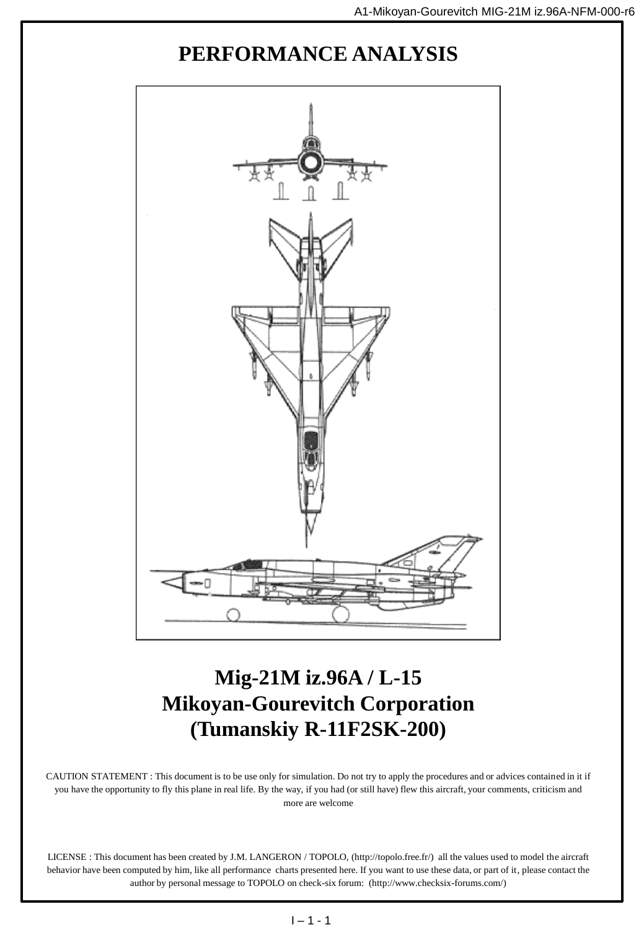## **PERFORMANCE ANALYSIS**



## **Mig-21M iz.96A / L-15 Mikoyan-Gourevitch Corporation (Tumanskiy R-11F2SK-200)**

CAUTION STATEMENT : This document is to be use only for simulation. Do not try to apply the procedures and or advices contained in it if you have the opportunity to fly this plane in real life. By the way, if you had (or still have) flew this aircraft, your comments, criticism and more are welcome

LICENSE : This document has been created by J.M. LANGERON / TOPOLO, (http://topolo.free.fr/) all the values used to model the aircraft behavior have been computed by him, like all performance charts presented here. If you want to use these data, or part of it, please contact the author by personal message to TOPOLO on check-six forum: (http://www.checksix-forums.com/)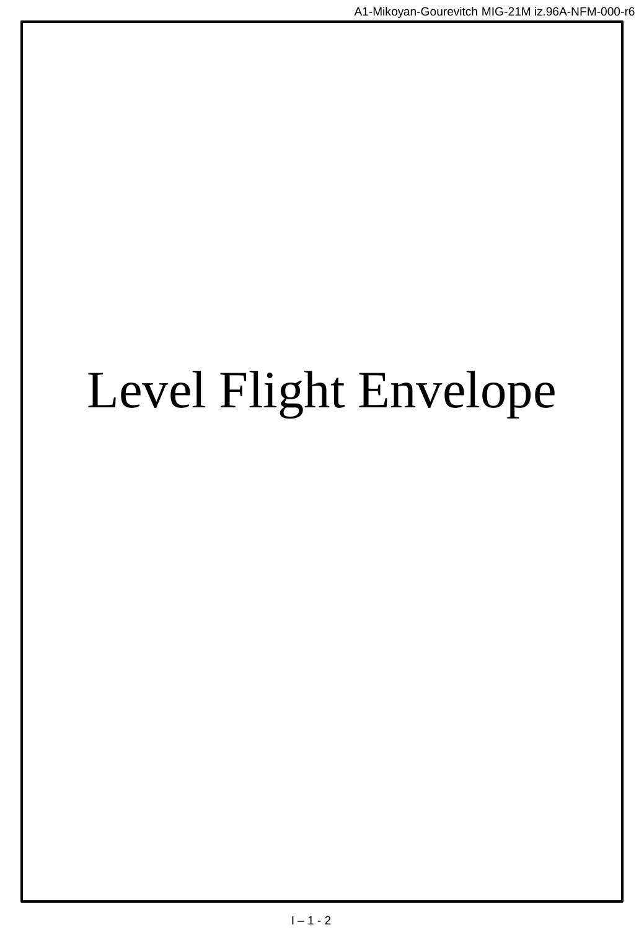# Level Flight Envelope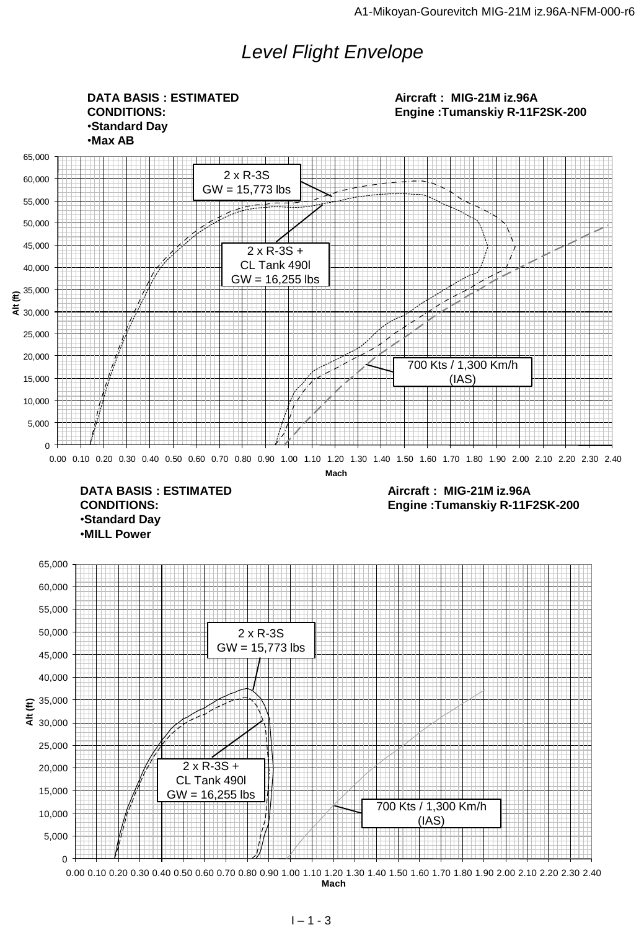## *Level Flight Envelope*

0 5,000 10,000 15,000 20,000 25,000  $\frac{1}{5}$  30,000  $\epsilon$ <sup>35,000</sup> 40,000 45,000 50,000 55,000 60,000 65,000 E<br>  $\frac{35,000}{25,000}$ <br>  $\frac{2 \times R-35 + C}{2 \times R-35 + C}$ <br>  $\frac{15,000}{600}$ <br>  $\frac{10,000}{600}$ <br>  $\frac{10,000}{600}$ <br>  $\frac{10,000}{600}$ <br>  $\frac{10,000}{600}$ <br>  $\frac{10,000}{600}$ <br>  $\frac{10,000}{600}$ <br>  $\frac{10,000}{600}$ <br>  $\frac{10,000}{600}$ <br>  $\frac{10,0$ **Mach**  $\Omega$ 5,000 10,000 15,000 20,000 25,000  $\frac{1}{5}$  30,000  $\epsilon^{35,000}$ 40,000 45,000 50,000 55,000 60,000 65,000  $\frac{20000}{40000}$ <br>  $20,000$ <br>  $10,000$ <br>  $5,000$ <br>  $6,000$ <br>  $6,000$ <br>  $10,020$  0.30 0.40 0.50 0.50 0.60 0.70 0.80 0.90 1.10 1.20 1.30 1.40 1.50 1.60 1.70 1.80 1.90 2.00 2.10 2.20 2.30 2.40<br>  $0,000$  0.10 0.20 0.30 0.40 0.50 0. **Mach DATA BASIS : ESTIMATED CONDITIONS:** •**Standard Day** •**Max AB Aircraft : MIG-21M iz.96A Engine :Tumanskiy R-11F2SK-200 DATA BASIS : ESTIMATED CONDITIONS:** •**Standard Day** •**MILL Power Aircraft : MIG-21M iz.96A Engine :Tumanskiy R-11F2SK-200** 2 x R-3S  $GW = 15,773$  lbs 2 x R-3S + CL Tank 490l  $GW = 16,255$  lbs 700 Kts / 1,300 Km/h (IAS) 2 x R-3S GW = 15,773 lbs 2 x R-3S + CL Tank 490l GW = 16,255 lbs 700 Kts / 1,300 Km/h (IAS)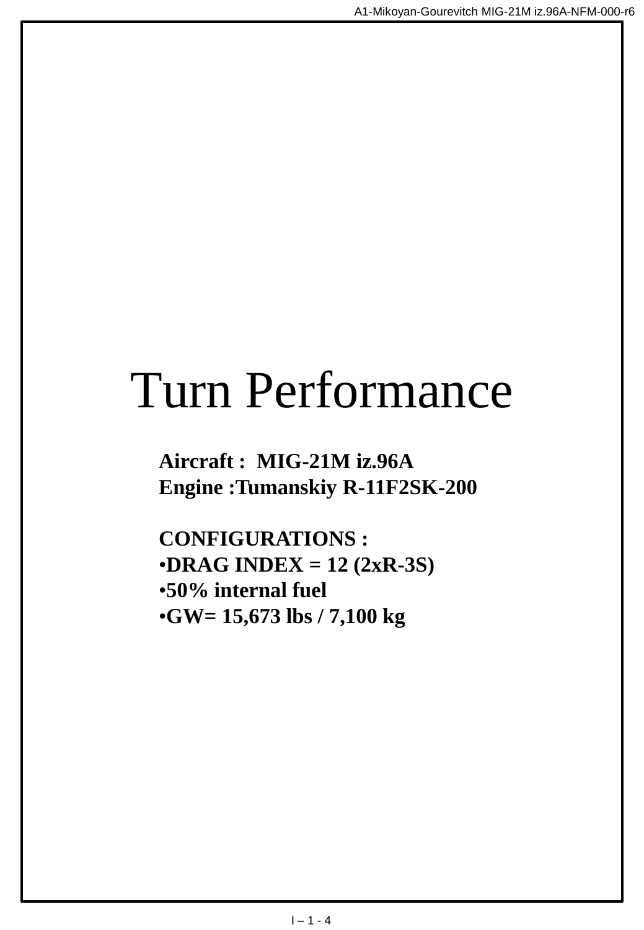## Turn Performance

**Aircraft : MIG-21M iz.96A Engine :Tumanskiy R-11F2SK-200**

**CONFIGURATIONS :** •**DRAG INDEX = 12 (2xR-3S)** •**50% internal fuel** •**GW= 15,673 lbs / 7,100 kg**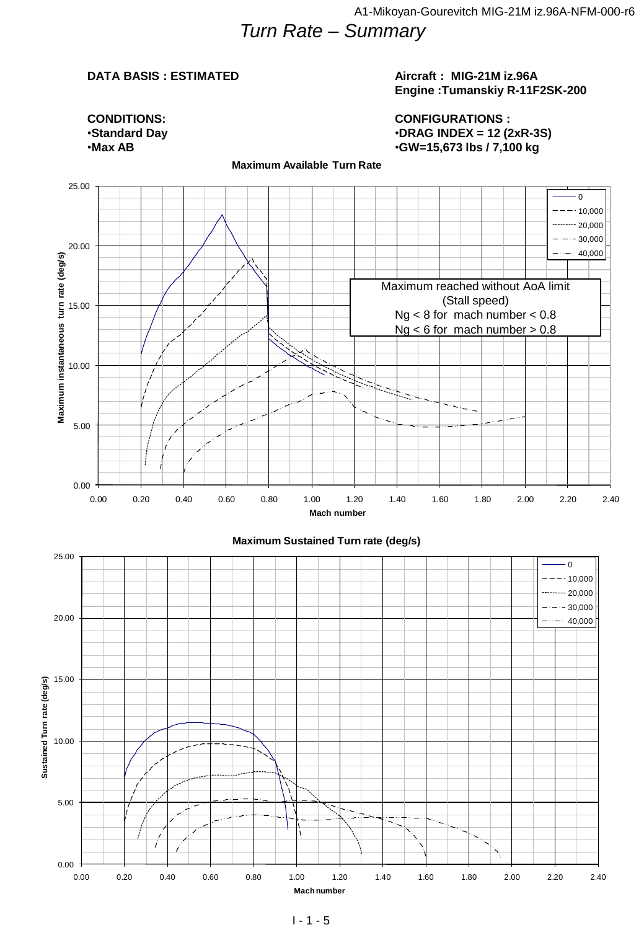## *Turn Rate – Summary*

#### **DATA BASIS : ESTIMATED**

#### **Aircraft : MIG-21M iz.96A Engine :Tumanskiy R-11F2SK-200**

**CONDITIONS:** •**Standard Day** •**Max AB**

#### **CONFIGURATIONS :** •**DRAG INDEX = 12 (2xR-3S)** •**GW=15,673 lbs / 7,100 kg**



**Maximum Available Turn Rate**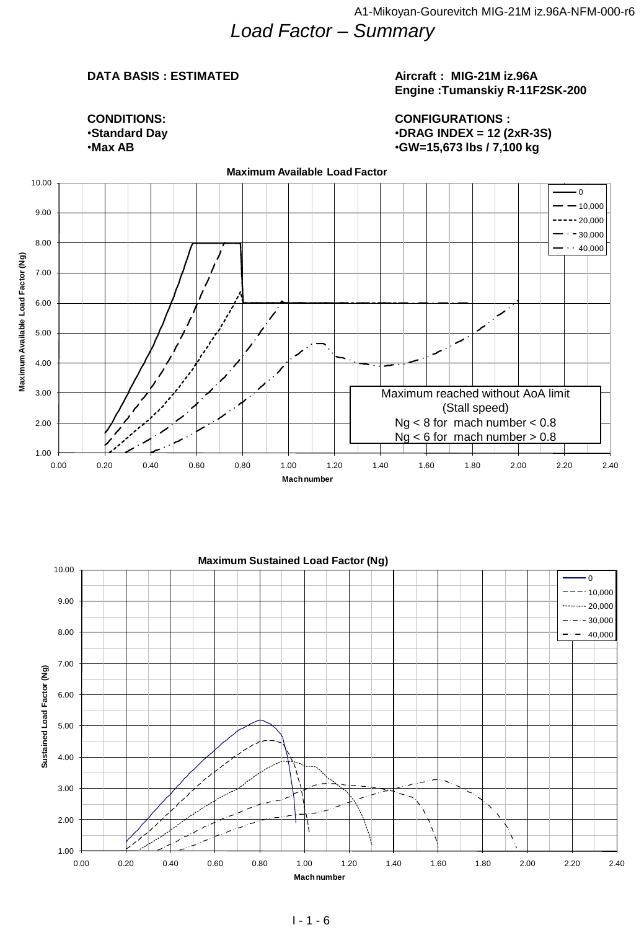## *Load Factor – Summary*

### **DATA BASIS : ESTIMATED**

#### **Aircraft : MIG-21M iz.96A Engine :Tumanskiy R-11F2SK-200**

#### **CONDITIONS:** •**Standard Day** •**Max AB**

#### **CONFIGURATIONS :** •**DRAG INDEX = 12 (2xR-3S)** •**GW=15,673 lbs / 7,100 kg**



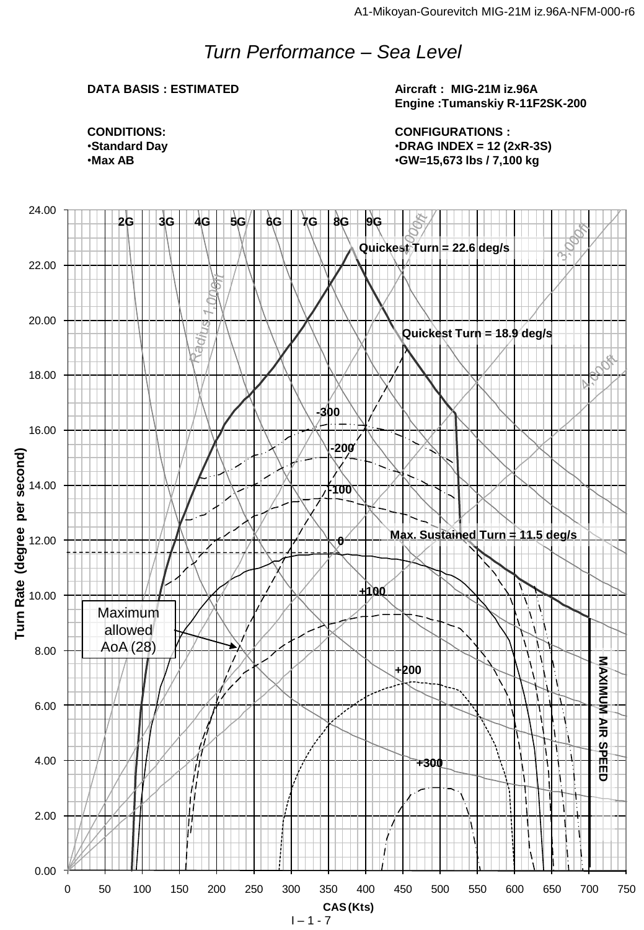## *Turn Performance – Sea Level*

### **DATA BASIS : ESTIMATED**

**Aircraft : MIG-21M iz.96A Engine :Tumanskiy R-11F2SK-200**

**CONFIGURATIONS :** •**DRAG INDEX = 12 (2xR-3S)** •**GW=15,673 lbs / 7,100 kg**

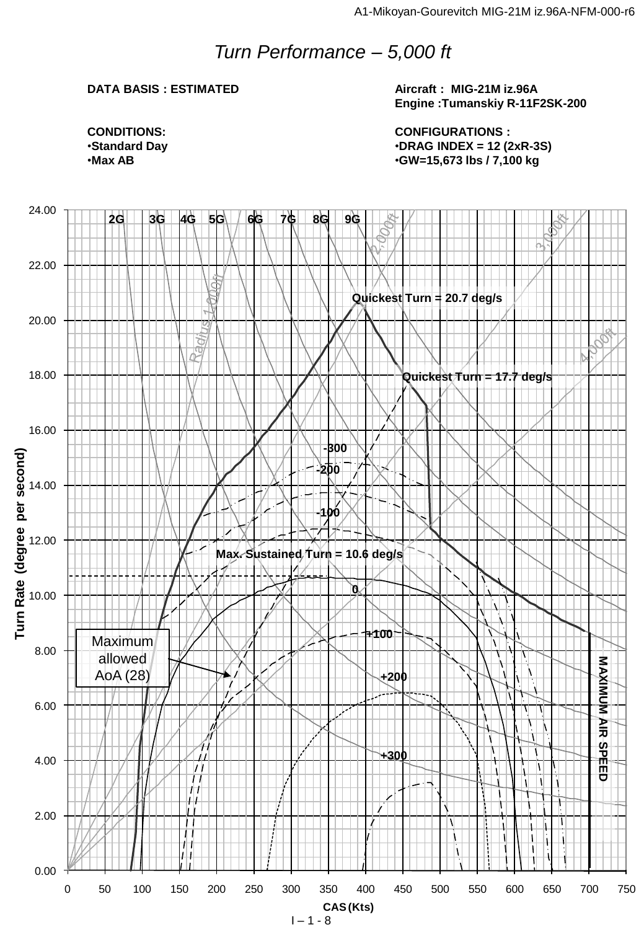## *Turn Performance – 5,000 ft*

#### **DATA BASIS : ESTIMATED**

**Aircraft : MIG-21M iz.96A Engine :Tumanskiy R-11F2SK-200**

**CONFIGURATIONS :** •**DRAG INDEX = 12 (2xR-3S)** •**GW=15,673 lbs / 7,100 kg**

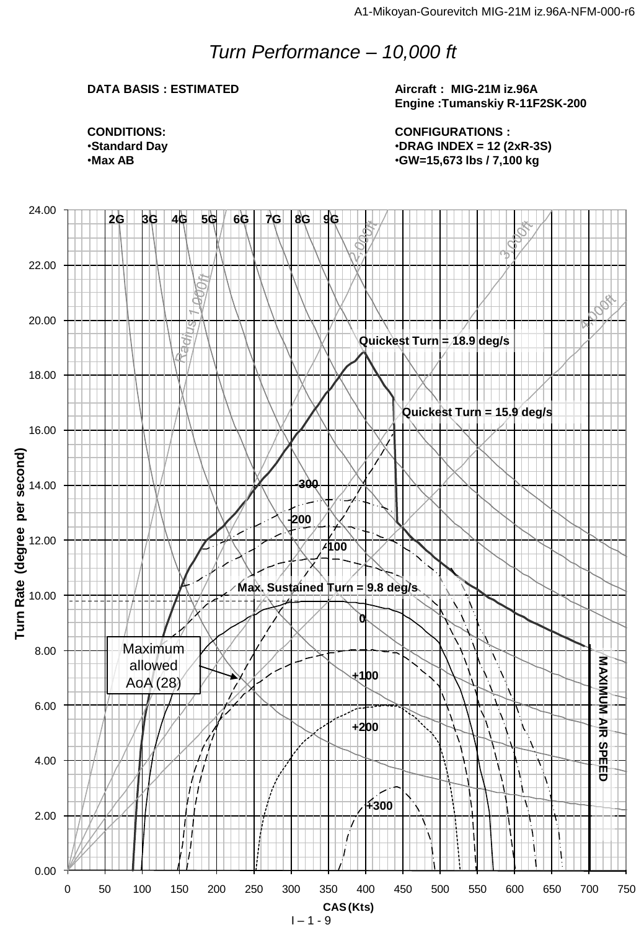## *Turn Performance – 10,000 ft*

### **DATA BASIS : ESTIMATED**

**Aircraft : MIG-21M iz.96A Engine :Tumanskiy R-11F2SK-200**

**CONFIGURATIONS :** •**DRAG INDEX = 12 (2xR-3S)** •**GW=15,673 lbs / 7,100 kg**

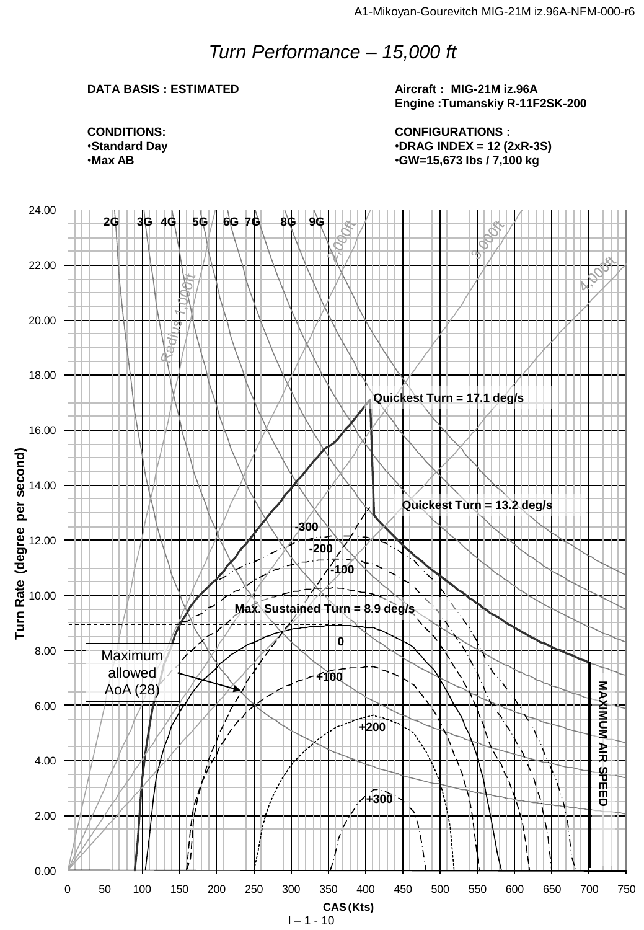## *Turn Performance – 15,000 ft*

### **DATA BASIS : ESTIMATED**

**Aircraft : MIG-21M iz.96A Engine :Tumanskiy R-11F2SK-200**

**CONFIGURATIONS :** •**DRAG INDEX = 12 (2xR-3S)** •**GW=15,673 lbs / 7,100 kg**

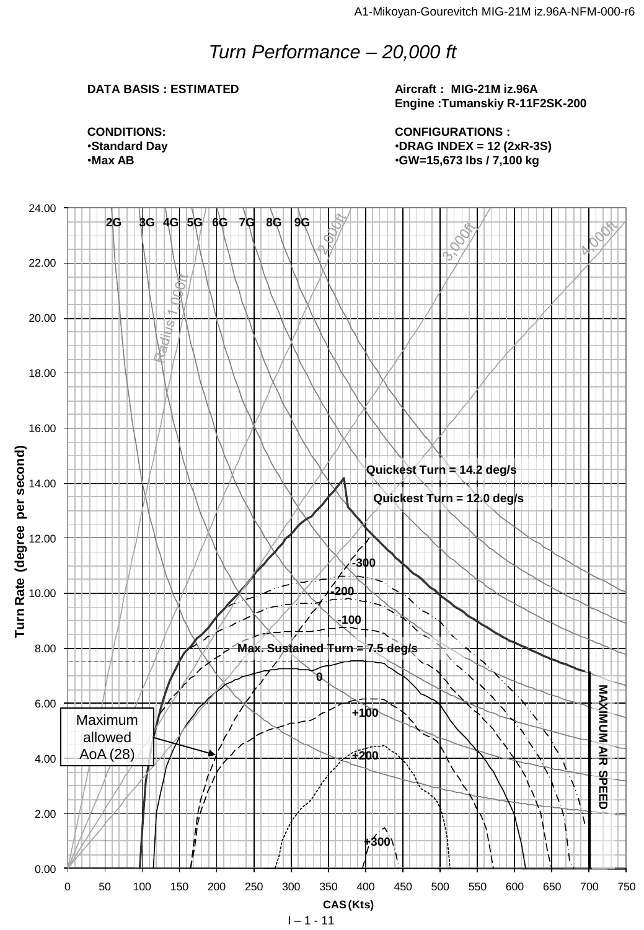## *Turn Performance – 20,000 ft*

### **DATA BASIS : ESTIMATED**

**Aircraft : MIG-21M iz.96A Engine :Tumanskiy R-11F2SK-200**

**CONFIGURATIONS :** •**DRAG INDEX = 12 (2xR-3S)** •**GW=15,673 lbs / 7,100 kg**

**CONDITIONS:** •**Standard Day** •**Max AB**



 $1 - 1 - 11$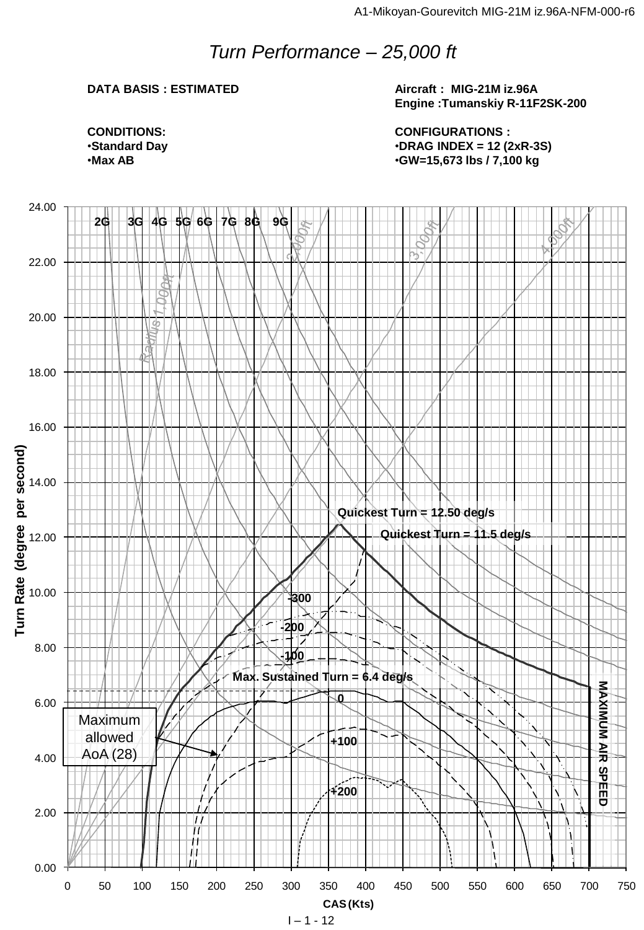## *Turn Performance – 25,000 ft*

### **DATA BASIS : ESTIMATED**

**Aircraft : MIG-21M iz.96A Engine :Tumanskiy R-11F2SK-200**

**CONFIGURATIONS :** •**DRAG INDEX = 12 (2xR-3S)** •**GW=15,673 lbs / 7,100 kg**

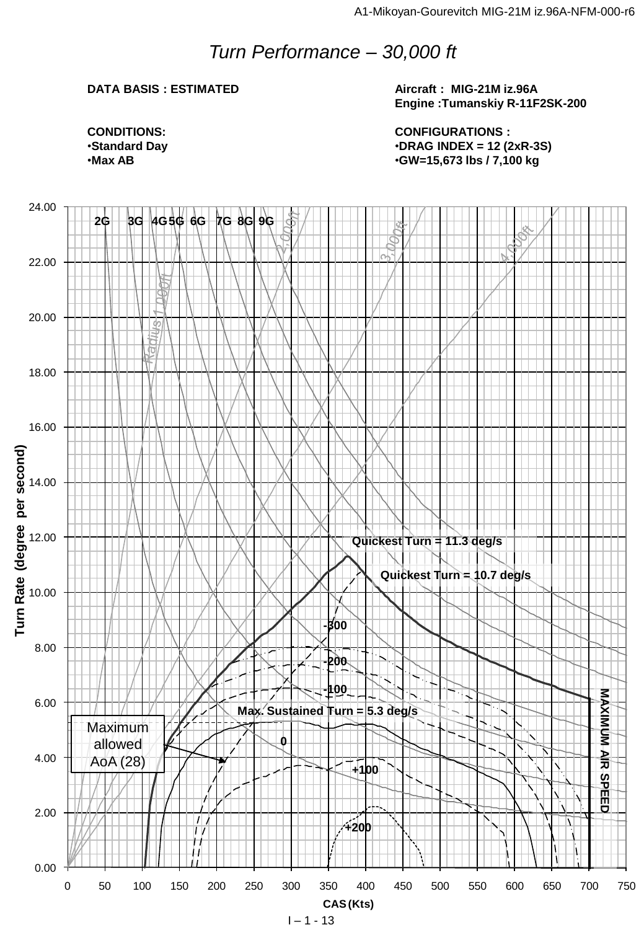## *Turn Performance – 30,000 ft*

### **DATA BASIS : ESTIMATED**

**Aircraft : MIG-21M iz.96A Engine :Tumanskiy R-11F2SK-200**

**CONFIGURATIONS :** •**DRAG INDEX = 12 (2xR-3S)** •**GW=15,673 lbs / 7,100 kg**



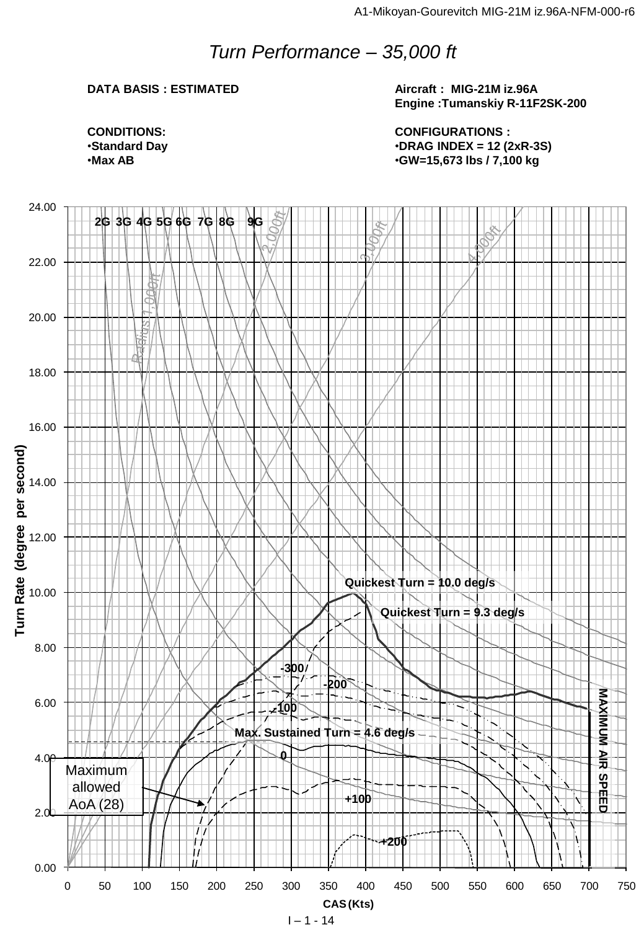## *Turn Performance – 35,000 ft*

### **DATA BASIS : ESTIMATED**

**Aircraft : MIG-21M iz.96A Engine :Tumanskiy R-11F2SK-200**

**CONDITIONS:** •**Standard Day** •**Max AB**

**CONFIGURATIONS :** •**DRAG INDEX = 12 (2xR-3S)** •**GW=15,673 lbs / 7,100 kg**

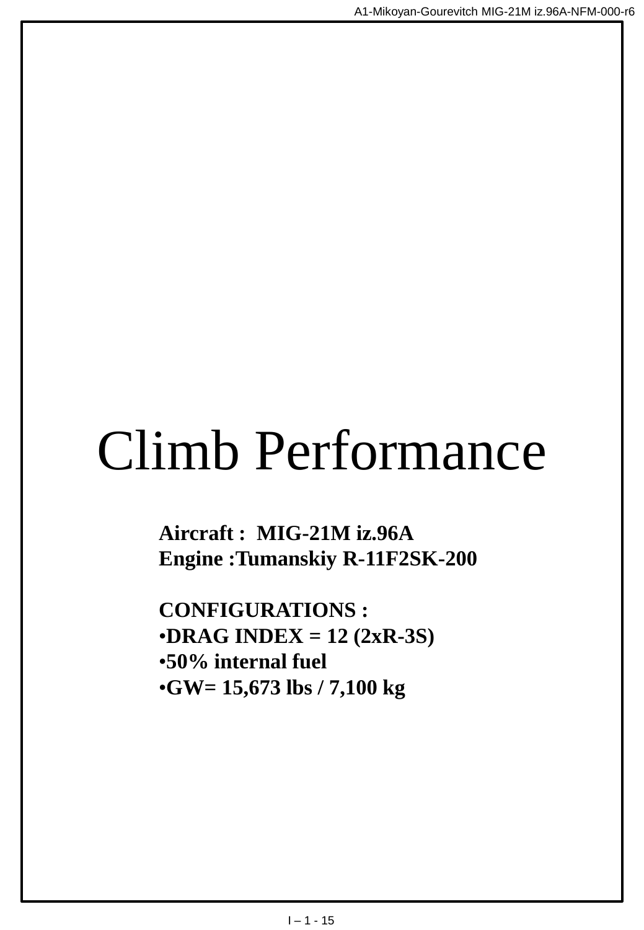# Climb Performance

**Aircraft : MIG-21M iz.96A Engine :Tumanskiy R-11F2SK-200**

**CONFIGURATIONS :** •**DRAG INDEX = 12 (2xR-3S)** •**50% internal fuel** •**GW= 15,673 lbs / 7,100 kg**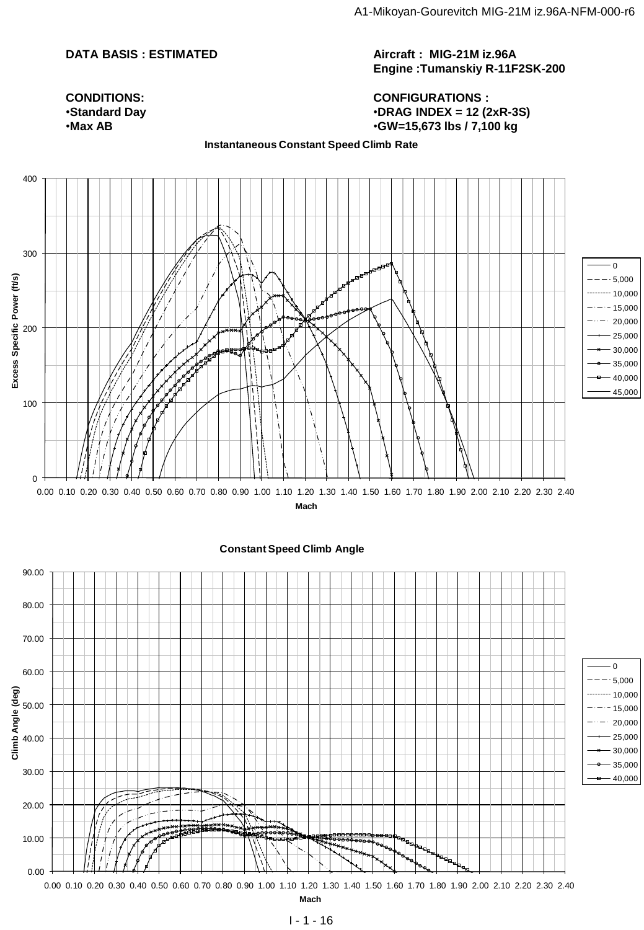#### **DATA BASIS : ESTIMATED**

**Aircraft : MIG-21M iz.96A Engine :Tumanskiy R-11F2SK-200**

#### **CONFIGURATIONS :** •**DRAG INDEX = 12 (2xR-3S)** •**GW=15,673 lbs / 7,100 kg**

**CONDITIONS:** •**Standard Day** •**Max AB**

#### **Instantaneous Constant Speed Climb Rate**

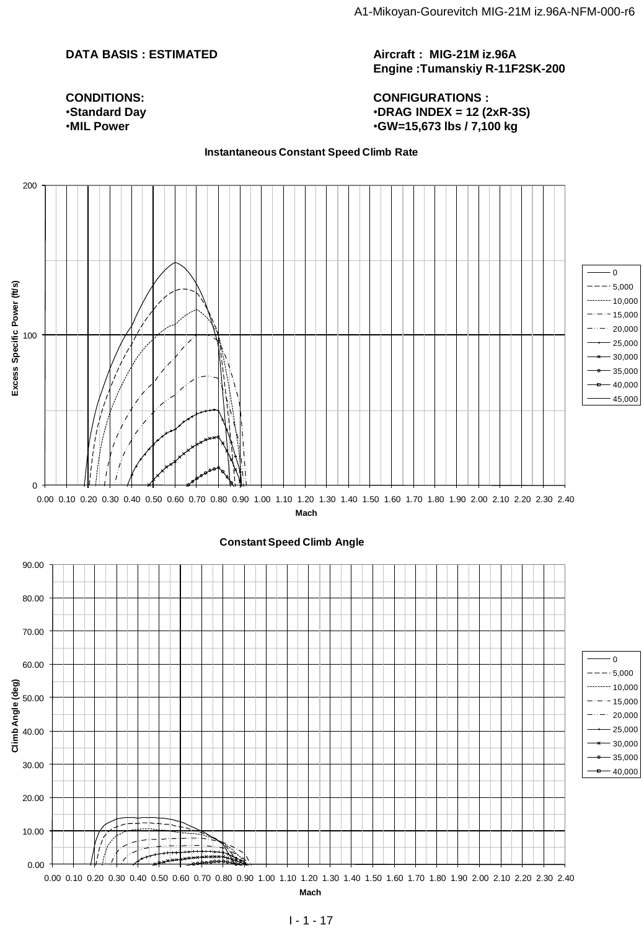#### **DATA BASIS : ESTIMATED**

**CONDITIONS:** •**Standard Day** •**MIL Power**

**Aircraft : MIG-21M iz.96A Engine :Tumanskiy R-11F2SK-200**

**CONFIGURATIONS :** •**DRAG INDEX = 12 (2xR-3S)** •**GW=15,673 lbs / 7,100 kg**

**Instantaneous Constant Speed Climb Rate**

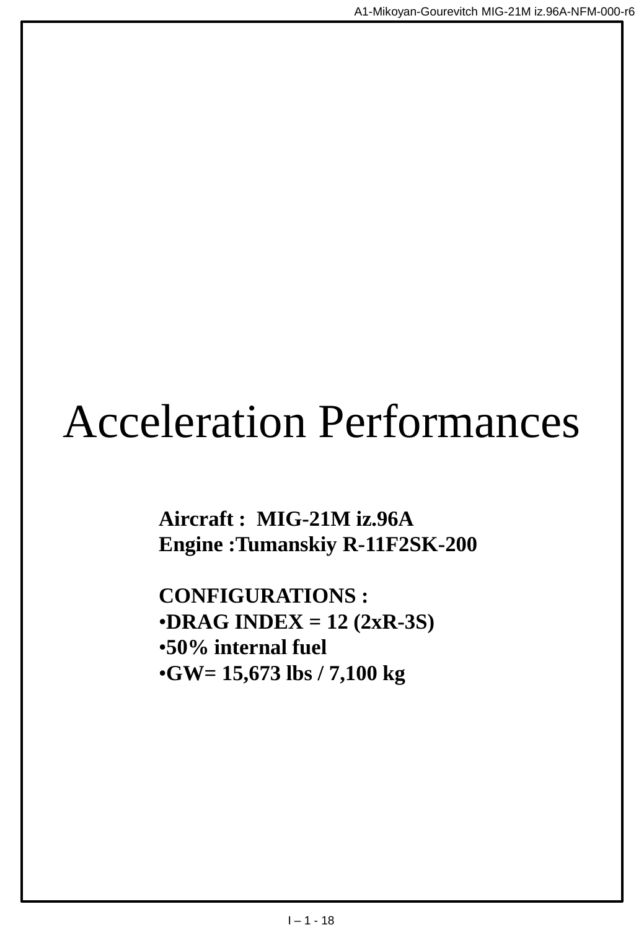## Acceleration Performances

**Aircraft : MIG-21M iz.96A Engine :Tumanskiy R-11F2SK-200**

**CONFIGURATIONS :** •**DRAG INDEX = 12 (2xR-3S)** •**50% internal fuel** •**GW= 15,673 lbs / 7,100 kg**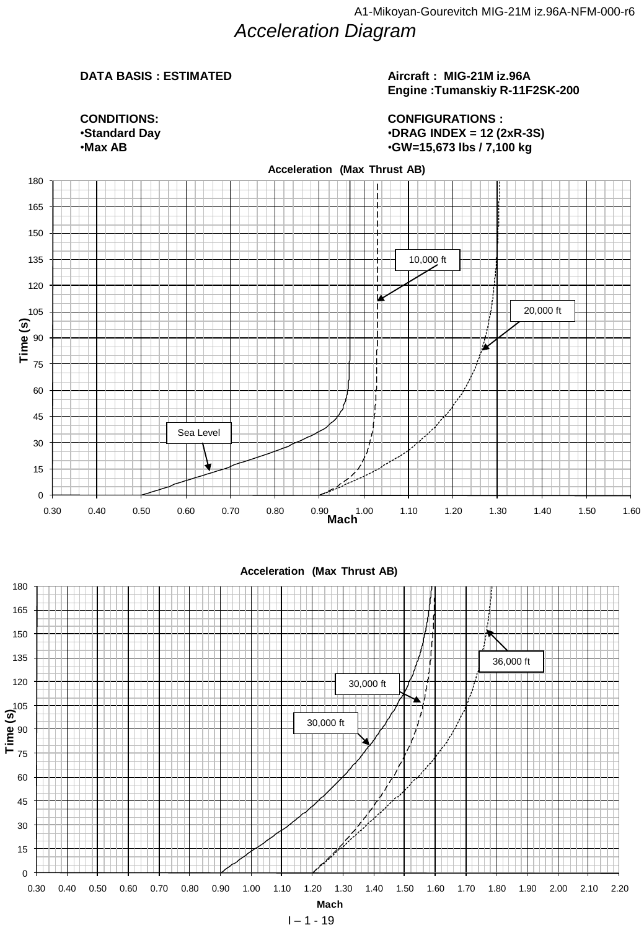## *Acceleration Diagram*

#### **DATA BASIS : ESTIMATED**

#### **Aircraft : MIG-21M iz.96A Engine :Tumanskiy R-11F2SK-200**

0 10,000 20,000 •**Standard Day CONDITIONS:** •**Max AB**

**CONFIGURATIONS :** •**DRAG INDEX = 12 (2xR-3S)** •**GW=15,673 lbs / 7,100 kg**



 $1 - 1 - 19$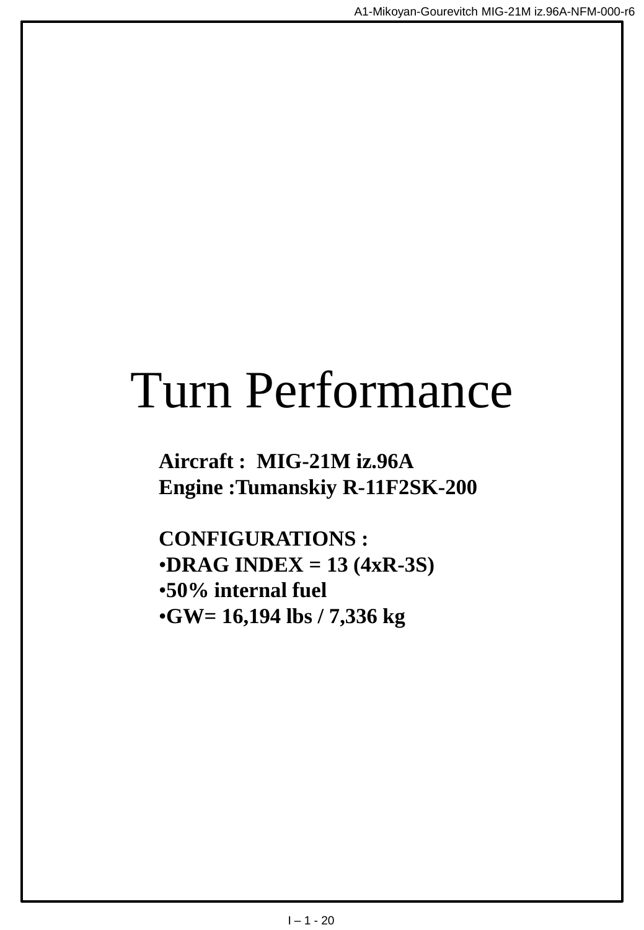## Turn Performance

**Aircraft : MIG-21M iz.96A Engine :Tumanskiy R-11F2SK-200**

**CONFIGURATIONS :** •**DRAG INDEX = 13 (4xR-3S)** •**50% internal fuel** •**GW= 16,194 lbs / 7,336 kg**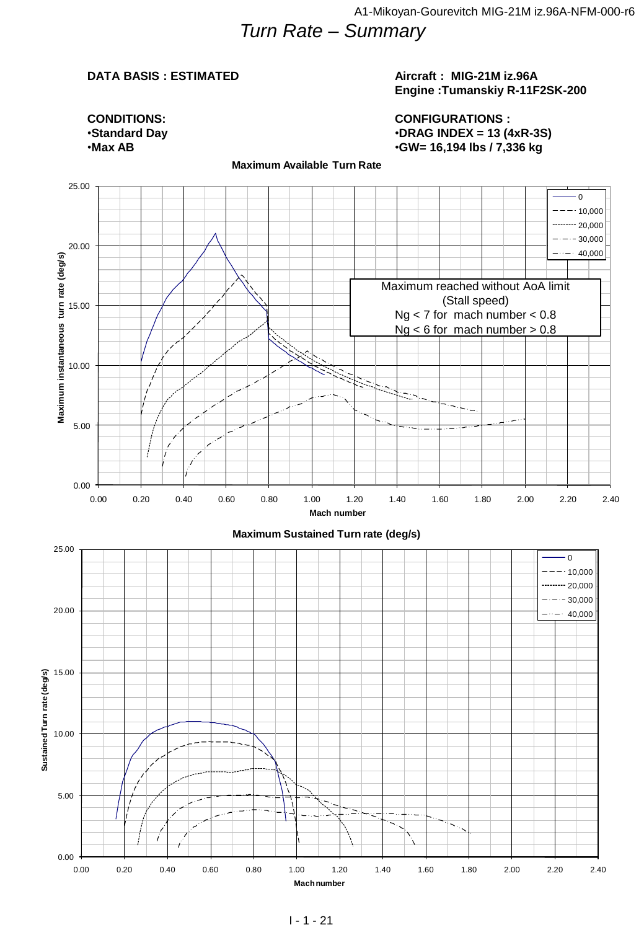## *Turn Rate – Summary*

#### **DATA BASIS : ESTIMATED**

#### **Aircraft : MIG-21M iz.96A Engine :Tumanskiy R-11F2SK-200**

**CONDITIONS:** •**Standard Day** •**Max AB**

#### **CONFIGURATIONS :** •**DRAG INDEX = 13 (4xR-3S)** •**GW= 16,194 lbs / 7,336 kg**

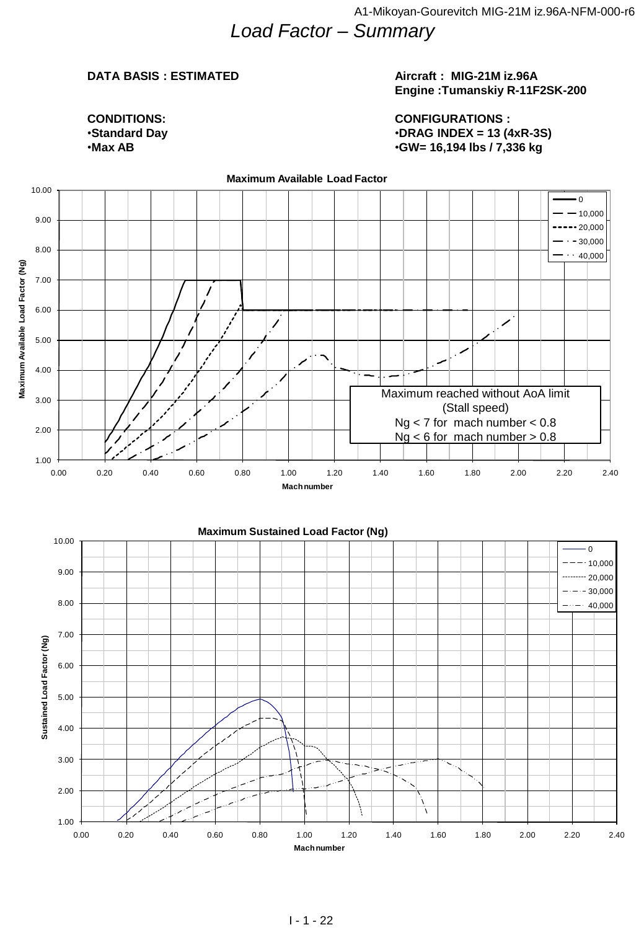### **DATA BASIS : ESTIMATED**

#### **Aircraft : MIG-21M iz.96A Engine :Tumanskiy R-11F2SK-200**

**CONDITIONS:** •**Standard Day** •**Max AB**

#### **CONFIGURATIONS :** •**DRAG INDEX = 13 (4xR-3S)** •**GW= 16,194 lbs / 7,336 kg**

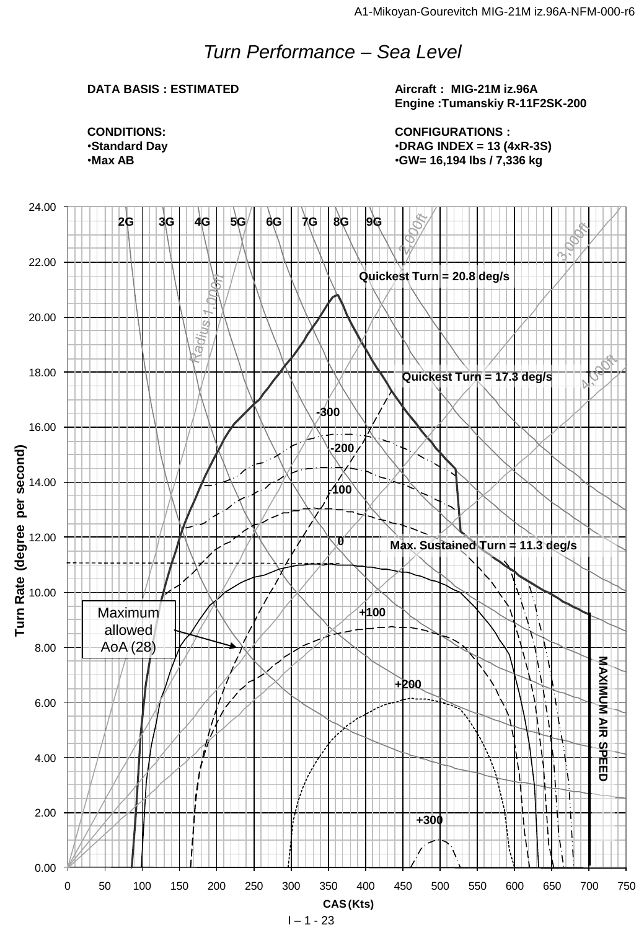## *Turn Performance – Sea Level*

#### **DATA BASIS : ESTIMATED**

**Aircraft : MIG-21M iz.96A Engine :Tumanskiy R-11F2SK-200**

**CONFIGURATIONS :** •**DRAG INDEX = 13 (4xR-3S)** •**GW= 16,194 lbs / 7,336 kg**





 $1 - 1 - 23$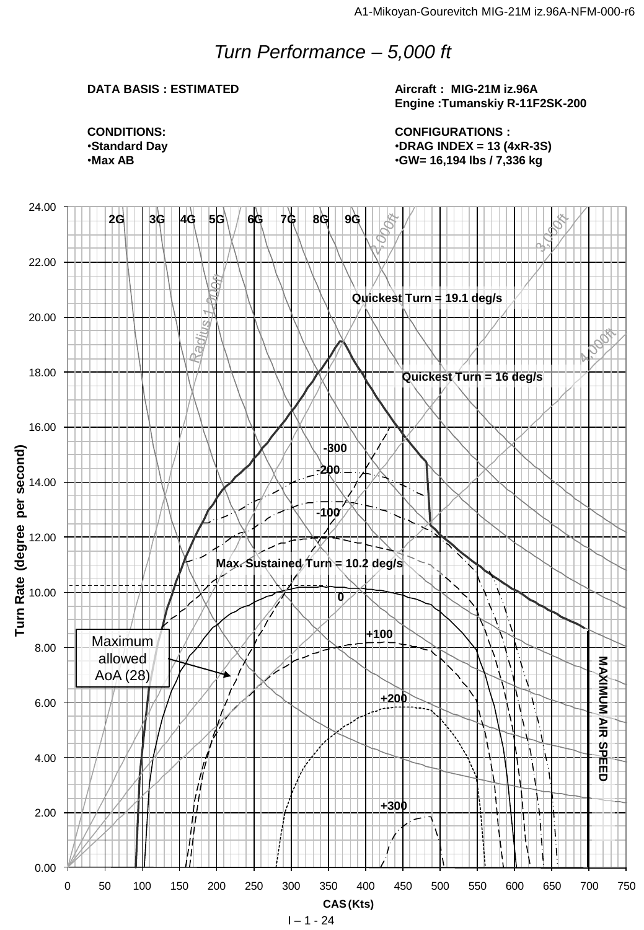## *Turn Performance – 5,000 ft*

#### **DATA BASIS : ESTIMATED**

**Aircraft : MIG-21M iz.96A Engine :Tumanskiy R-11F2SK-200**

**CONFIGURATIONS :** •**DRAG INDEX = 13 (4xR-3S)** •**GW= 16,194 lbs / 7,336 kg**

**CONDITIONS:** •**Standard Day** •**Max AB**



 $1 - 1 - 24$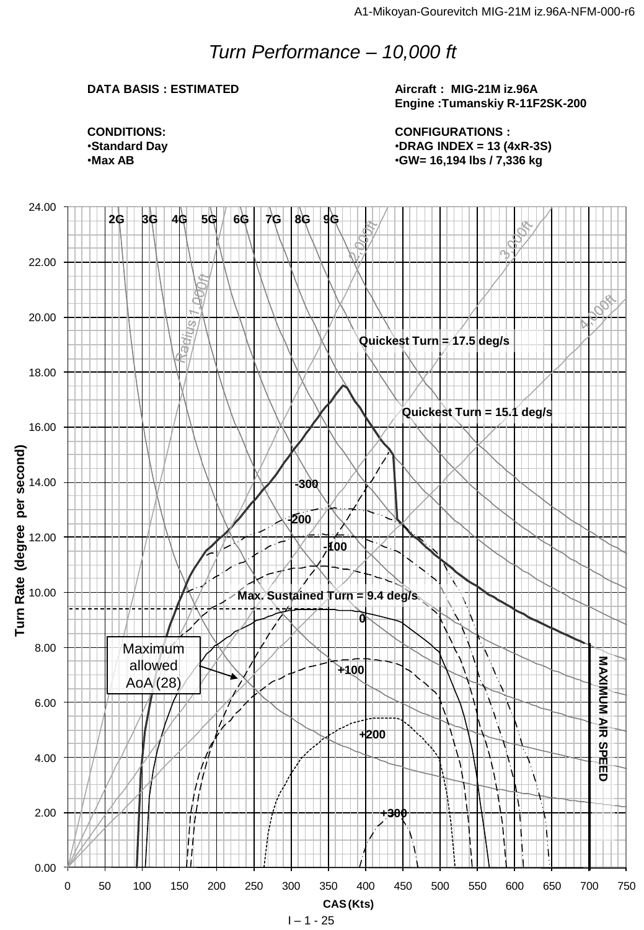## *Turn Performance – 10,000 ft*

#### **DATA BASIS : ESTIMATED**

**Aircraft : MIG-21M iz.96A Engine :Tumanskiy R-11F2SK-200**

**CONFIGURATIONS :** •**DRAG INDEX = 13 (4xR-3S)** •**GW= 16,194 lbs / 7,336 kg**

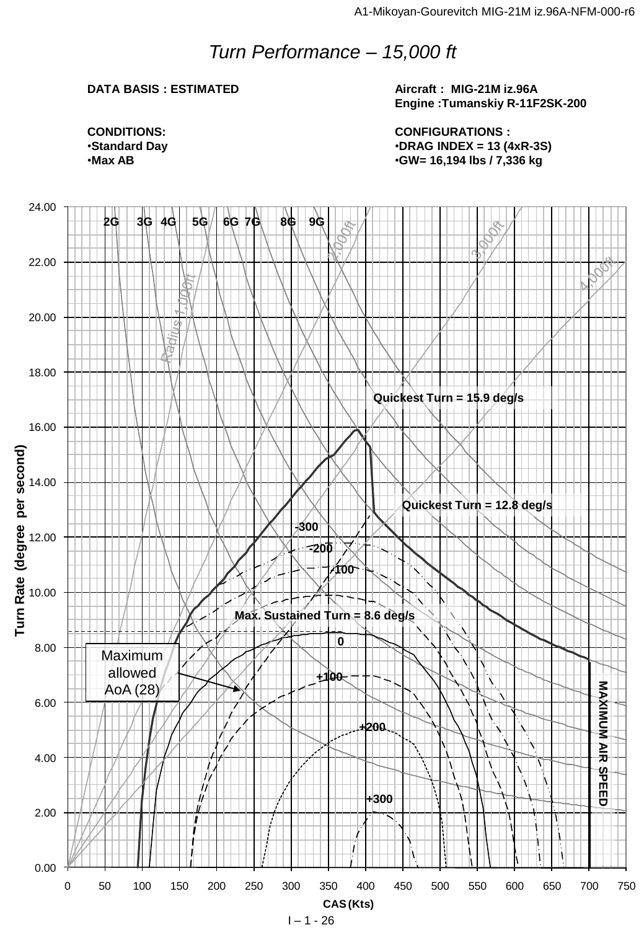## *Turn Performance – 15,000 ft*

#### **DATA BASIS : ESTIMATED**

**Aircraft : MIG-21M iz.96A Engine :Tumanskiy R-11F2SK-200**

**CONFIGURATIONS :** •**DRAG INDEX = 13 (4xR-3S)** •**GW= 16,194 lbs / 7,336 kg**

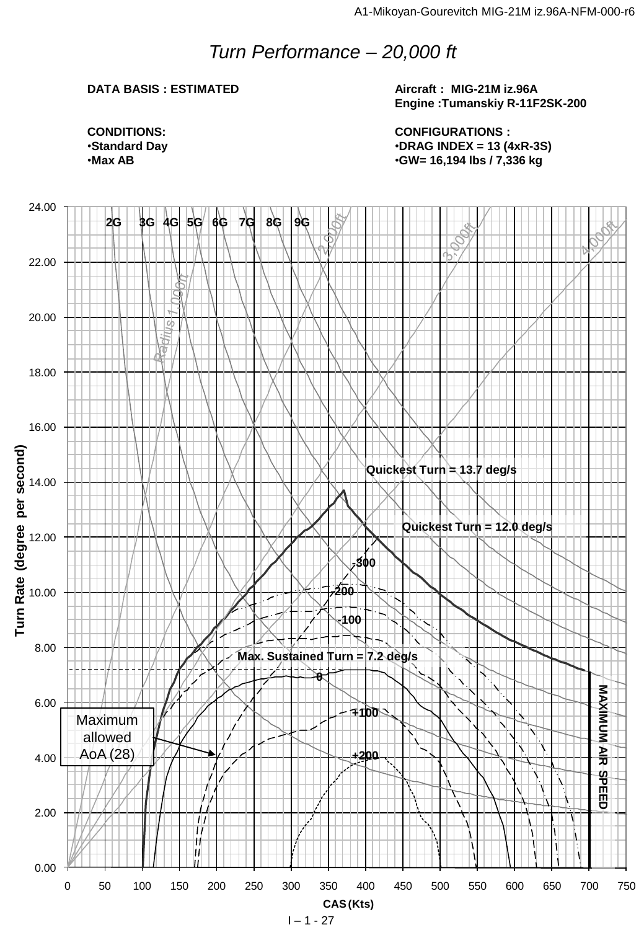## *Turn Performance – 20,000 ft*

### **DATA BASIS : ESTIMATED**

**Aircraft : MIG-21M iz.96A Engine :Tumanskiy R-11F2SK-200**

**CONFIGURATIONS :** •**DRAG INDEX = 13 (4xR-3S)** •**GW= 16,194 lbs / 7,336 kg**



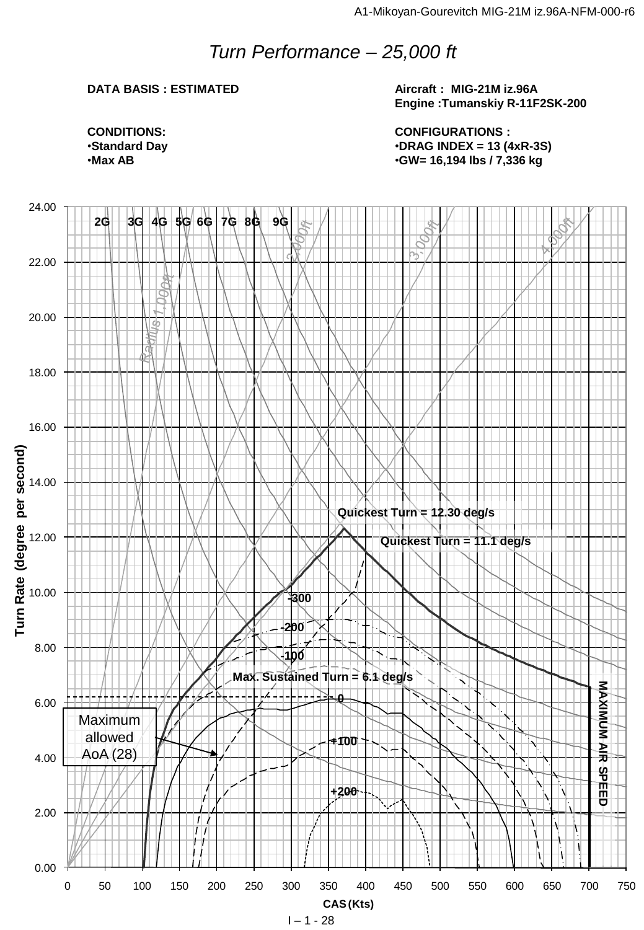## *Turn Performance – 25,000 ft*

#### **DATA BASIS : ESTIMATED**

**Aircraft : MIG-21M iz.96A Engine :Tumanskiy R-11F2SK-200**

**CONFIGURATIONS :** •**DRAG INDEX = 13 (4xR-3S)** •**GW= 16,194 lbs / 7,336 kg**

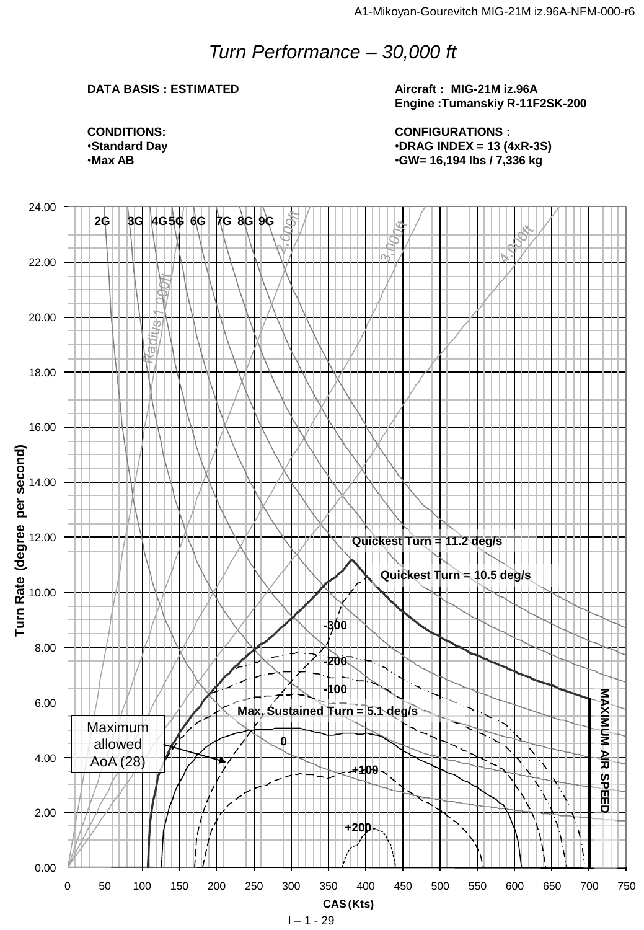## *Turn Performance – 30,000 ft*

### **DATA BASIS : ESTIMATED**

**Aircraft : MIG-21M iz.96A Engine :Tumanskiy R-11F2SK-200**

**CONFIGURATIONS :** •**DRAG INDEX = 13 (4xR-3S)** •**GW= 16,194 lbs / 7,336 kg**



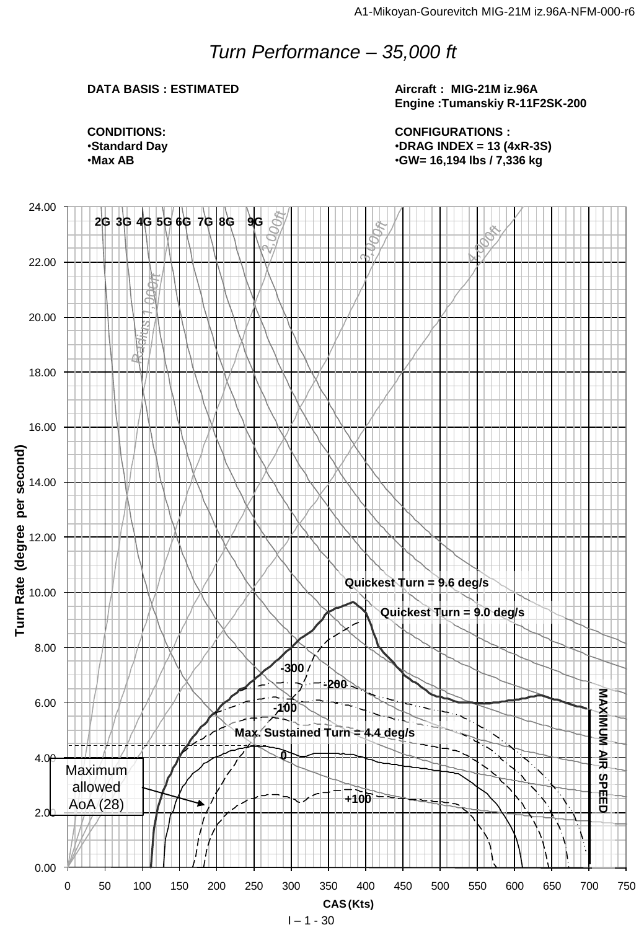## *Turn Performance – 35,000 ft*

### **DATA BASIS : ESTIMATED**

**Aircraft : MIG-21M iz.96A Engine :Tumanskiy R-11F2SK-200**

**CONDITIONS:** •**Standard Day** •**Max AB**

**CONFIGURATIONS :** •**DRAG INDEX = 13 (4xR-3S)** •**GW= 16,194 lbs / 7,336 kg**

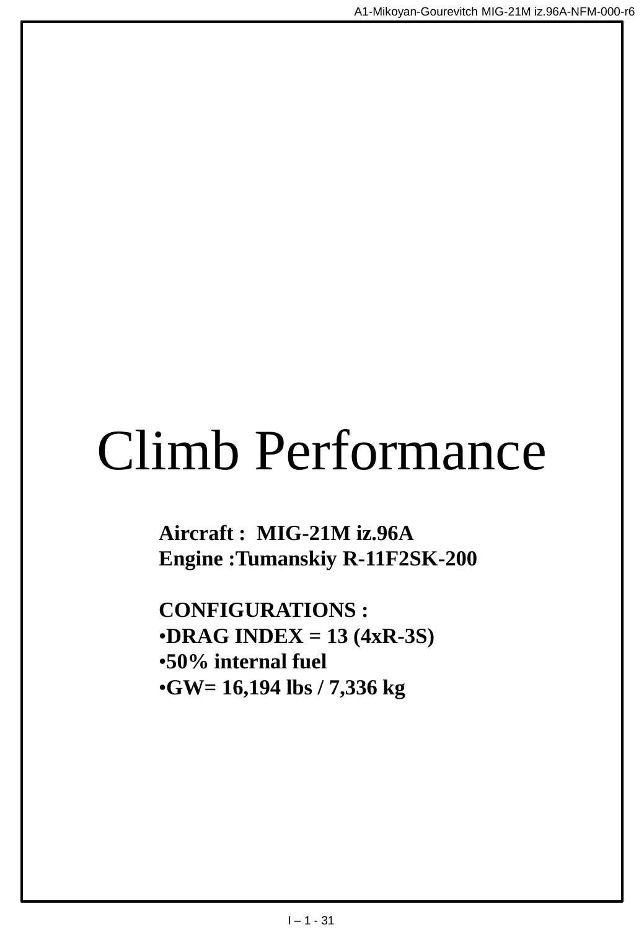# Climb Performance

**Aircraft : MIG-21M iz.96A Engine :Tumanskiy R-11F2SK-200**

**CONFIGURATIONS :** •**DRAG INDEX = 13 (4xR-3S)** •**50% internal fuel** •**GW= 16,194 lbs / 7,336 kg**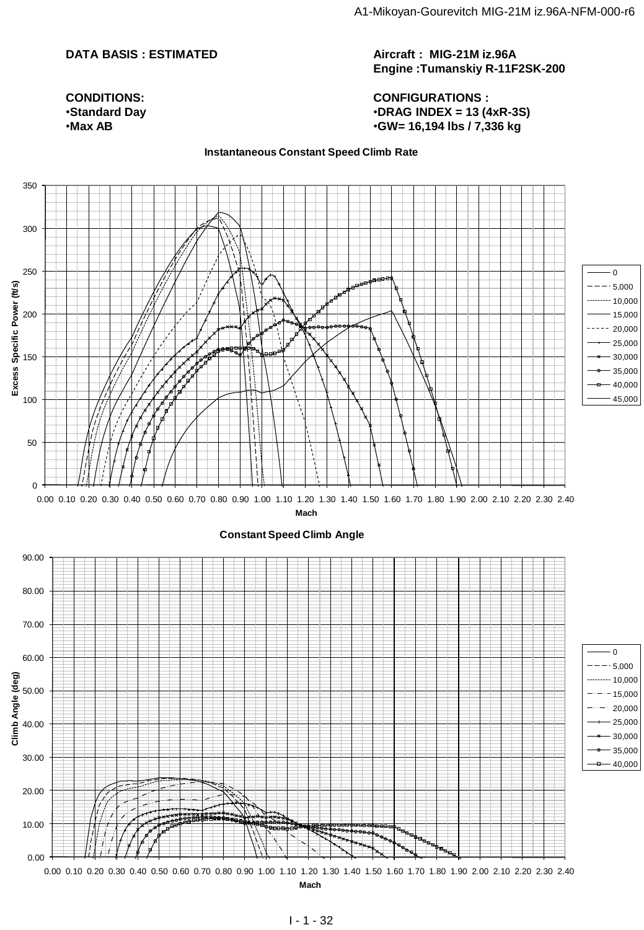#### **DATA BASIS : ESTIMATED**

**Aircraft : MIG-21M iz.96A Engine :Tumanskiy R-11F2SK-200**

**CONFIGURATIONS :** •**DRAG INDEX = 13 (4xR-3S)** •**GW= 16,194 lbs / 7,336 kg**

#### **Instantaneous Constant Speed Climb Rate**

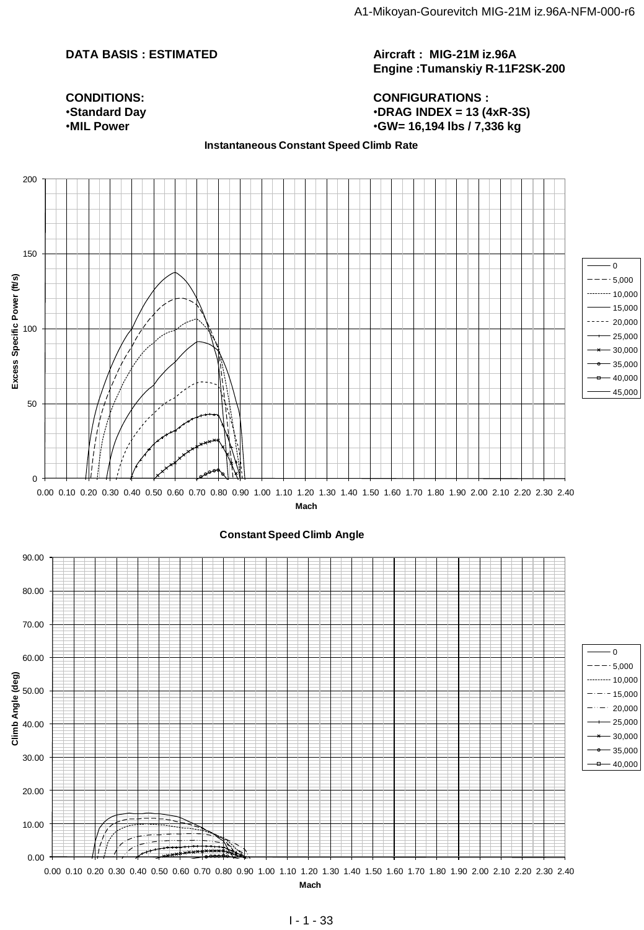### **DATA BASIS : ESTIMATED**

#### **Aircraft : MIG-21M iz.96A Engine :Tumanskiy R-11F2SK-200**

#### **CONFIGURATIONS :** •**DRAG INDEX = 13 (4xR-3S)** •**GW= 16,194 lbs / 7,336 kg**

**CONDITIONS:** •**Standard Day** •**MIL Power**

#### **Instantaneous Constant Speed Climb Rate**

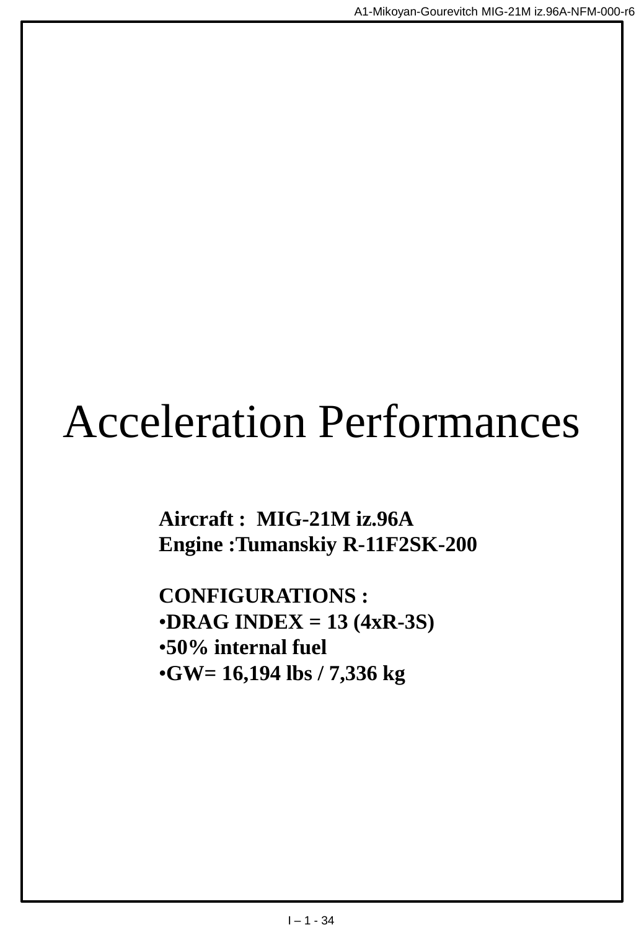## Acceleration Performances

**Aircraft : MIG-21M iz.96A Engine :Tumanskiy R-11F2SK-200**

**CONFIGURATIONS :** •**DRAG INDEX = 13 (4xR-3S)** •**50% internal fuel** •**GW= 16,194 lbs / 7,336 kg**